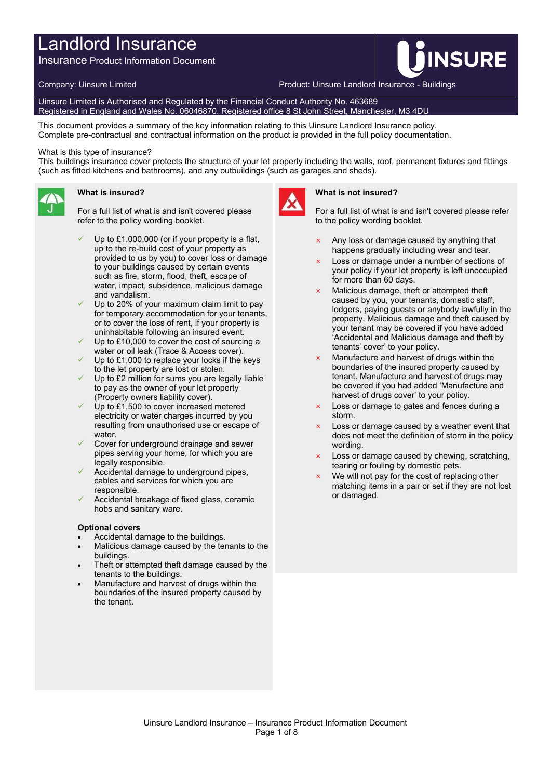# Landlord Insurance

Insurance Product Information Document

Company: Uinsure Limited **Product: Uinsure Landlord Insurance - Buildings** 

Uinsure Limited is Authorised and Regulated by the Financial Conduct Authority No. 463689 Registered in England and Wales No. 06046870. Registered office 8 St John Street, Manchester, M3 4DU

This document provides a summary of the key information relating to this Uinsure Landlord Insurance policy. Complete pre-contractual and contractual information on the product is provided in the full policy documentation.

#### What is this type of insurance?

This buildings insurance cover protects the structure of your let property including the walls, roof, permanent fixtures and fittings (such as fitted kitchens and bathrooms), and any outbuildings (such as garages and sheds).



## **What is insured?**

For a full list of what is and isn't covered please refer to the policy wording booklet.

- Up to £1,000,000 (or if your property is a flat, up to the re-build cost of your property as provided to us by you) to cover loss or damage to your buildings caused by certain events such as fire, storm, flood, theft, escape of water, impact, subsidence, malicious damage and vandalism.
- Up to 20% of your maximum claim limit to pay for temporary accommodation for your tenants, or to cover the loss of rent, if your property is uninhabitable following an insured event.
- Up to £10,000 to cover the cost of sourcing a water or oil leak (Trace & Access cover).
- Up to £1,000 to replace your locks if the keys to the let property are lost or stolen.
- Up to £2 million for sums you are legally liable to pay as the owner of your let property (Property owners liability cover).
- Up to £1,500 to cover increased metered electricity or water charges incurred by you resulting from unauthorised use or escape of water.
- Cover for underground drainage and sewer pipes serving your home, for which you are legally responsible.
- Accidental damage to underground pipes, cables and services for which you are responsible.
- Accidental breakage of fixed glass, ceramic hobs and sanitary ware.

#### **Optional covers**

- Accidental damage to the buildings.
- Malicious damage caused by the tenants to the buildings.
- Theft or attempted theft damage caused by the tenants to the buildings.
- Manufacture and harvest of drugs within the boundaries of the insured property caused by the tenant.



### **What is not insured?**

For a full list of what is and isn't covered please refer to the policy wording booklet.

**INSURE** 

- Any loss or damage caused by anything that happens gradually including wear and tear.
- Loss or damage under a number of sections of your policy if your let property is left unoccupied for more than 60 days.
- Malicious damage, theft or attempted theft caused by you, your tenants, domestic staff, lodgers, paying guests or anybody lawfully in the property. Malicious damage and theft caused by your tenant may be covered if you have added 'Accidental and Malicious damage and theft by tenants' cover' to your policy.
- Manufacture and harvest of drugs within the boundaries of the insured property caused by tenant. Manufacture and harvest of drugs may be covered if you had added 'Manufacture and harvest of drugs cover' to your policy.
- × Loss or damage to gates and fences during a storm.
- $\times$  Loss or damage caused by a weather event that does not meet the definition of storm in the policy wording.
- Loss or damage caused by chewing, scratching, tearing or fouling by domestic pets.
- We will not pay for the cost of replacing other matching items in a pair or set if they are not lost or damaged.